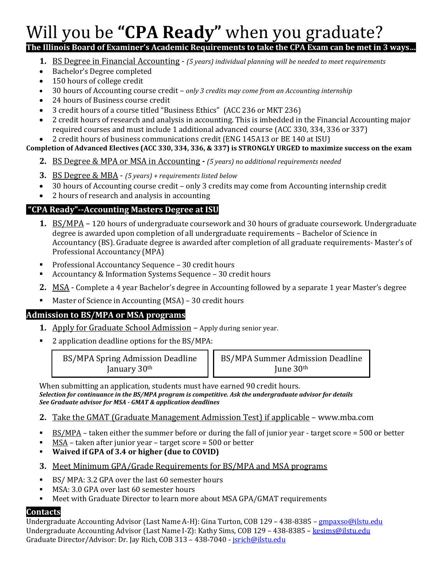# Will you be **"CPA Ready"** when you graduate?

## **The Illinois Board of Examiner's Academic Requirements to take the CPA Exam can be met in 3 ways…**

- **1.** BS Degree in Financial Accounting *(5 years) individual planning will be needed to meet requirements*
- Bachelor's Degree completed
- 150 hours of college credit
- 30 hours of Accounting course credit *only 3 credits may come from an Accounting internship*
- 24 hours of Business course credit
- 3 credit hours of a course titled "Business Ethics" (ACC 236 or MKT 236)
- 2 credit hours of research and analysis in accounting. This is imbedded in the Financial Accounting major required courses and must include 1 additional advanced course (ACC 330, 334, 336 or 337)
- 2 credit hours of business communications credit (ENG 145A13 or BE 140 at ISU)

#### **Completion of Advanced Electives (ACC 330, 334, 336, & 337) is STRONGLY URGED to maximize success on the exam**

- **2.** BS Degree & MPA or MSA in Accounting *- (5 years) no additional requirements needed*
- **3.** BS Degree & MBA *(5 years) + requirements listed below*
- 30 hours of Accounting course credit only 3 credits may come from Accounting internship credit
- 2 hours of research and analysis in accounting

## **"CPA Ready"--Accounting Masters Degree at ISU**

- **1.** BS/MPA 120 hours of undergraduate coursework and 30 hours of graduate coursework. Undergraduate degree is awarded upon completion of all undergraduate requirements – Bachelor of Science in Accountancy (BS). Graduate degree is awarded after completion of all graduate requirements- Master's of Professional Accountancy (MPA)
- Professional Accountancy Sequence 30 credit hours
- Accountancy & Information Systems Sequence 30 credit hours
- **2.** MSA Complete a 4 year Bachelor's degree in Accounting followed by a separate 1 year Master's degree
- Master of Science in Accounting (MSA) 30 credit hours

#### **Admission to BS/MPA or MSA programs**

- **1.** Apply for Graduate School Admission Apply during senior year.
- 2 application deadline options for the BS/MPA:

BS/MPA Spring Admission Deadline January 30th

BS/MPA Summer Admission Deadline June 30th

When submitting an application, students must have earned 90 credit hours. *Selection for continuance in the BS/MPA program is competitive. Ask the undergraduate advisor for details See Graduate advisor for MSA - GMAT & application deadlines*

- **2.** Take the GMAT (Graduate Management Admission Test) if applicable www.mba.com
- $BS/MPA$  taken either the summer before or during the fall of junior year target score = 500 or better
- $MSA$  taken after junior year target score = 500 or better
- **Waived if GPA of 3.4 or higher (due to COVID)**
- **3.** Meet Minimum GPA/Grade Requirements for BS/MPA and MSA programs
- BS/ MPA: 3.2 GPA over the last 60 semester hours
- MSA: 3.0 GPA over last 60 semester hours
- **■** Meet with Graduate Director to learn more about MSA GPA/GMAT requirements

#### **Contacts**

Undergraduate Accounting Advisor (Last Name A-H): Gina Turton, COB 129 – 438-8385 – [gmpaxso@ilstu.edu](mailto:gmpaxso@ilstu.edu) Undergraduate Accounting Advisor (Last Name I-Z): Kathy Sims, COB 129 – 438-8385 – [kesims@ilstu.edu](mailto:kesims@ilstu.edu) Graduate Director/Advisor: Dr. Jay Rich, COB 313 - 438-7040 - [jsrich@ilstu.edu](mailto:jsrich@ilstu.edu)